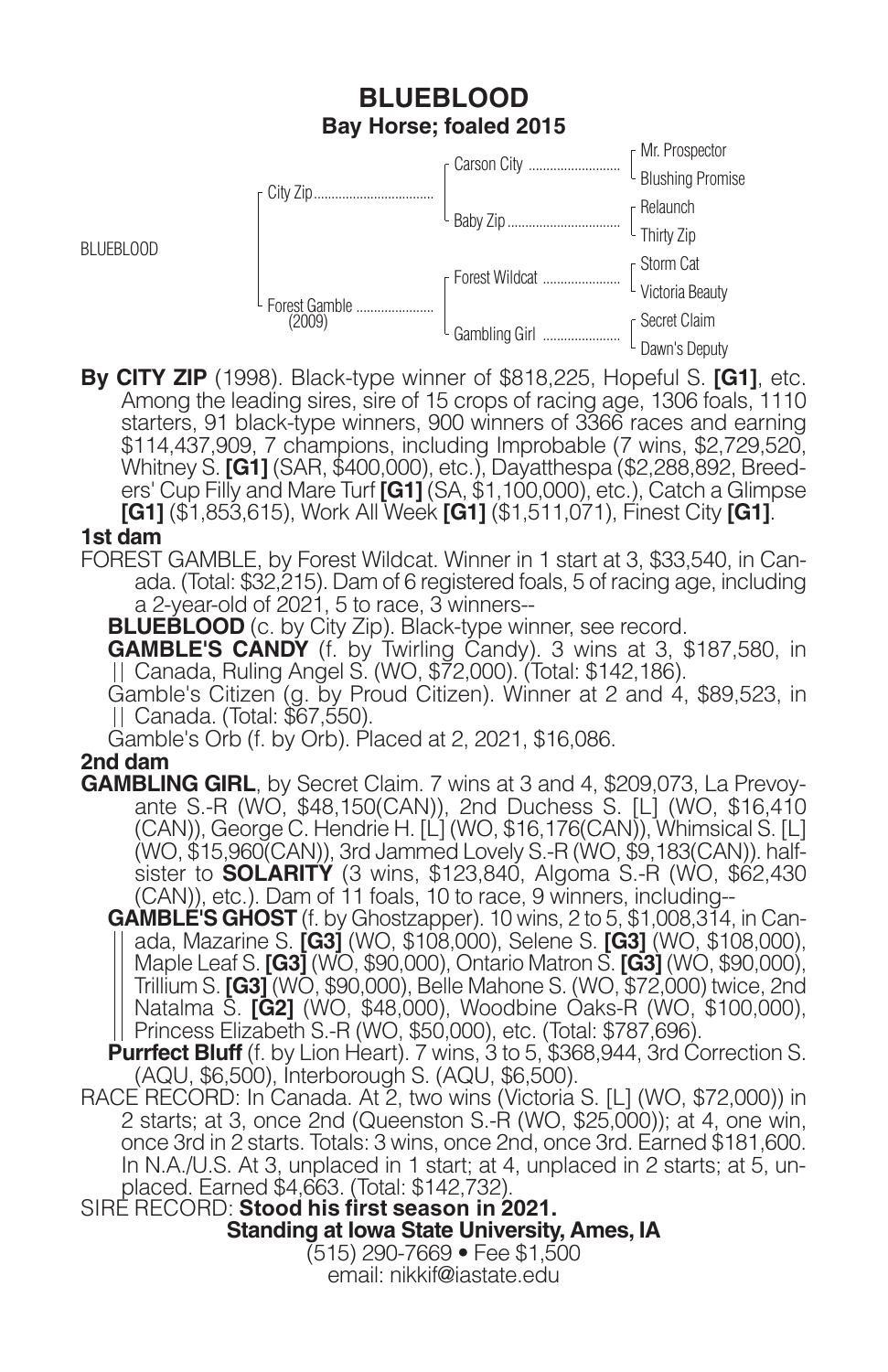# **BLUEBLOOD Bay Horse; foaled 2015**



**By CITY ZIP** (1998). Black-type winner of \$818,225, Hopeful S. **[G1]**, etc. Among the leading sires, sire of 15 crops of racing age, 1306 foals, 1110 starters, 91 black-type winners, 900 winners of 3366 races and earning \$114,437,909, 7 champions, including Improbable (7 wins, \$2,729,520, Whitney S. **[G1]** (SAR, \$400,000), etc.), Dayatthespa (\$2,288,892, Breeders' Cup Filly and Mare Turf **[G1]** (SA, \$1,100,000), etc.), Catch a Glimpse **[G1]** (\$1,853,615), Work All Week **[G1]** (\$1,511,071), Finest City **[G1]**.

### **1st dam**

BLUEBLOOD

FOREST GAMBLE, by Forest Wildcat. Winner in 1 start at 3, \$33,540, in Canada. (Total: \$32,215). Dam of 6 registered foals, 5 of racing age, including a 2-year-old of 2021, 5 to race, 3 winners--

**BLUEBLOOD** (c. by City Zip). Black-type winner, see record.

**GAMBLE'S CANDY** (f. by Twirling Candy). 3 wins at 3, \$187,580, in Canada, Ruling Angel S. (WO, \$72,000). (Total: \$142,186).

Gamble's Citizen (g. by Proud Citizen). Winner at 2 and 4, \$89,523, in Canada. (Total: \$67,550).

Gamble's Orb (f. by Orb). Placed at 2, 2021, \$16,086.

### **2nd dam**

- **GAMBLING GIRL**, by Secret Claim. 7 wins at 3 and 4, \$209,073, La Prevoyante S.-R (WO, \$48,150(CAN)), 2nd Duchess S. [L] (WO, \$16,410 (CAN)), George C. Hendrie H. [L] (WO, \$16,176(CAN)), Whimsical S. [L] (WO, \$15,960(CAN)), 3rd Jammed Lovely S.-R (WO, \$9,183(CAN)). halfsister to **SOLARITY** (3 wins, \$123,840, Algoma S.-R (WO, \$62,430 (CAN)), etc.). Dam of 11 foals, 10 to race, 9 winners, including--
	- **GAMBLE'S GHOST** (f. by Ghostzapper). 10 wins, 2 to 5, \$1,008,314, in Canada, Mazarine S. **[G3]** (WO, \$108,000), Selene S. **[G3]** (WO, \$108,000), Maple Leaf S. **[G3]** (WO, \$90,000), Ontario Matron S. **[G3]** (WO, \$90,000), Trillium S. **[G3]** (WO, \$90,000), Belle Mahone S. (WO, \$72,000) twice, 2nd Natalma S. **[G2]** (WO, \$48,000), Woodbine Oaks-R (WO, \$100,000), Princess Elizabeth S.-R (WO, \$50,000), etc. (Total: \$787,696).
	- **Purrfect Bluff** (f. by Lion Heart). 7 wins, 3 to 5, \$368,944, 3rd Correction S. (AQU, \$6,500), Interborough S. (AQU, \$6,500).
- RACE RECORD: In Canada. At 2, two wins (Victoria S. [L] (WO, \$72,000)) in 2 starts; at 3, once 2nd (Queenston S.-R (WO, \$25,000)); at 4, one win, once 3rd in 2 starts. Totals: 3 wins, once 2nd, once 3rd. Earned \$181,600. In N.A./U.S. At 3, unplaced in 1 start; at 4, unplaced in 2 starts; at 5, unplaced. Earned \$4,663. (Total: \$142,732).

SIRE RECORD: **Stood his first season in 2021. Standing at Iowa State University, Ames, IA** (515) 290-7669 • Fee \$1,500

email: nikkif@iastate.edu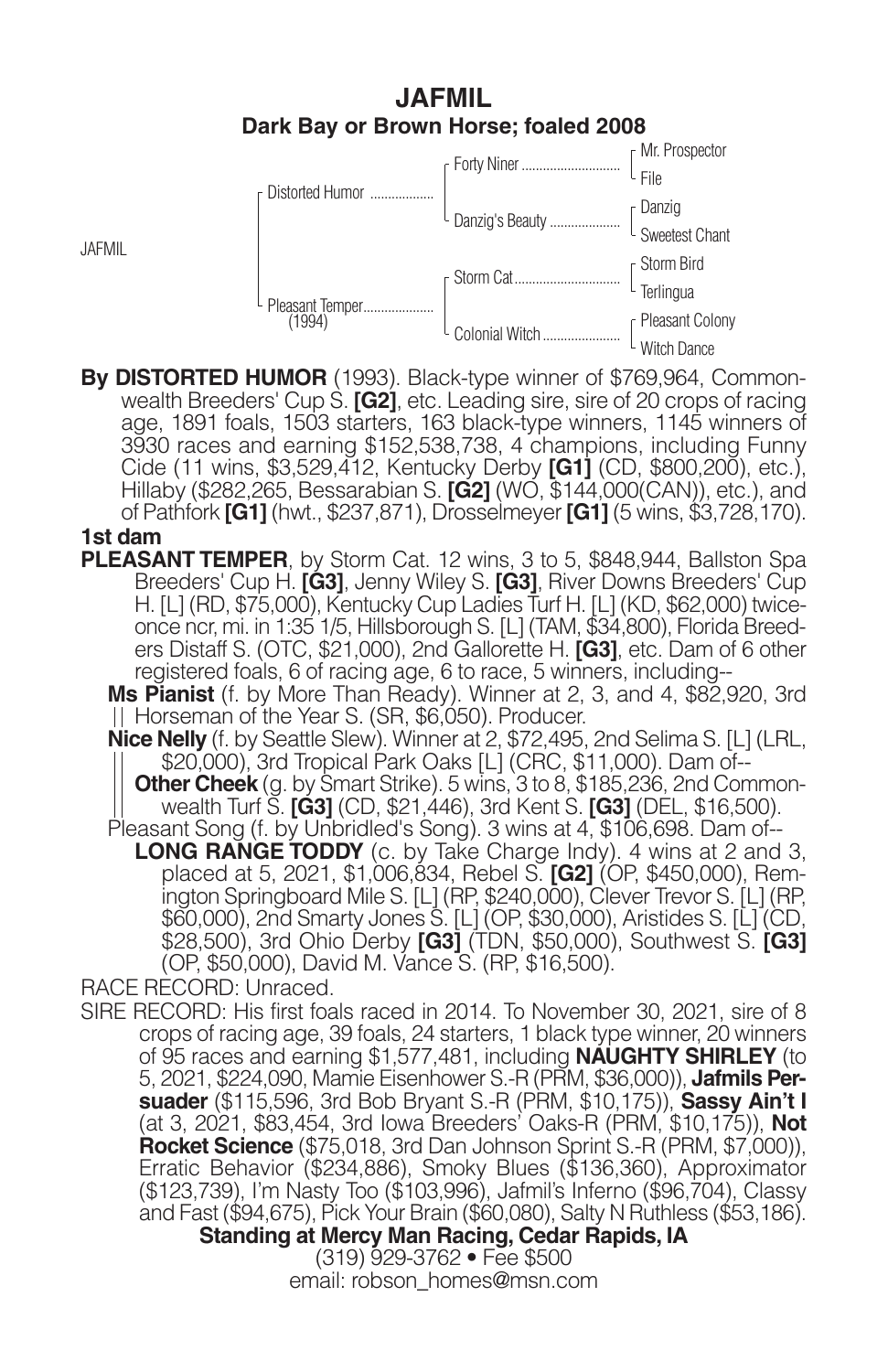## **JAFMIL Dark Bay or Brown Horse; foaled 2008**



**By DISTORTED HUMOR** (1993). Black-type winner of \$769,964, Commonwealth Breeders' Cup S. **[G2]**, etc. Leading sire, sire of 20 crops of racing age, 1891 foals, 1503 starters, 163 black-type winners, 1145 winners of 3930 races and earning \$152,538,738, 4 champions, including Funny Cide (11 wins, \$3,529,412, Kentucky Derby **[G1]** (CD, \$800,200), etc.), Hillaby (\$282,265, Bessarabian S. **[G2]** (WO, \$144,000(CAN)), etc.), and of Pathfork **[G1]** (hwt., \$237,871), Drosselmeyer **[G1]** (5 wins, \$3,728,170). **1st dam**

**PLEASANT TEMPER**, by Storm Cat. 12 wins, 3 to 5, \$848,944, Ballston Spa Breeders' Cup H. **[G3]**, Jenny Wiley S. **[G3]**, River Downs Breeders' Cup H. [L] (RD, \$75,000), Kentucky Cup Ladies Turf H. [L] (KD, \$62,000) twiceonce ncr, mi. in 1:35 1/5, Hillsborough S. [L] (TAM, \$34,800), Florida Breeders Distaff S. (OTC, \$21,000), 2nd Gallorette H. **[G3]**, etc. Dam of 6 other registered foals, 6 of racing age, 6 to race, 5 winners, including--

**Ms Pianist** (f. by More Than Ready). Winner at 2, 3, and 4, \$82,920, 3rd Horseman of the Year S. (SR, \$6,050). Producer.

**Nice Nelly** (f. by Seattle Slew). Winner at 2, \$72,495, 2nd Selima S. [L] (LRL, \$20,000), 3rd Tropical Park Oaks [L] (CRC, \$11,000). Dam of--

**Other Cheek** (g. by Smart Strike). 5 wins, 3 to 8, \$185,236, 2nd Commonwealth Turf S. **[G3]** (CD, \$21,446), 3rd Kent S. **[G3]** (DEL, \$16,500). Pleasant Song (f. by Unbridled's Song). 3 wins at 4, \$106,698. Dam of--

**LONG RANGE TODDY** (c. by Take Charge Indy). 4 wins at 2 and 3, placed at 5, 2021, \$1,006,834, Rebel S. **[G2]** (OP, \$450,000), Remington Springboard Mile S. [L] (RP, \$240,000), Clever Trevor S. [L] (RP, \$60,000), 2nd Smarty Jones S. [L] (OP, \$30,000), Aristides S. [L] (CD, \$28,500), 3rd Ohio Derby **[G3]** (TDN, \$50,000), Southwest S. **[G3]** (OP, \$50,000), David M. Vance S. (RP, \$16,500).

RACE RECORD: Unraced.

JAFMIL

SIRE RECORD: His first foals raced in 2014. To November 30, 2021, sire of 8 crops of racing age, 39 foals, 24 starters, 1 black type winner, 20 winners of 95 races and earning \$1,577,481, including **NAUGHTY SHIRLEY** (to 5, 2021, \$224,090, Mamie Eisenhower S.-R (PRM, \$36,000)), **Jafmils Persuader** (\$115,596, 3rd Bob Bryant S.-R (PRM, \$10,175)), **Sassy Ain't I** (at 3, 2021, \$83,454, 3rd Iowa Breeders' Oaks-R (PRM, \$10,175)), **Not Rocket Science** (\$75,018, 3rd Dan Johnson Sprint S.-R (PRM, \$7,000)), Erratic Behavior (\$234,886), Smoky Blues (\$136,360), Approximator (\$123,739), I'm Nasty Too (\$103,996), Jafmil's Inferno (\$96,704), Classy and Fast (\$94,675), Pick Your Brain (\$60,080), Salty N Ruthless (\$53,186). **Standing at Mercy Man Racing, Cedar Rapids, IA**

> (319) 929-3762 • Fee \$500 email: robson\_homes@msn.com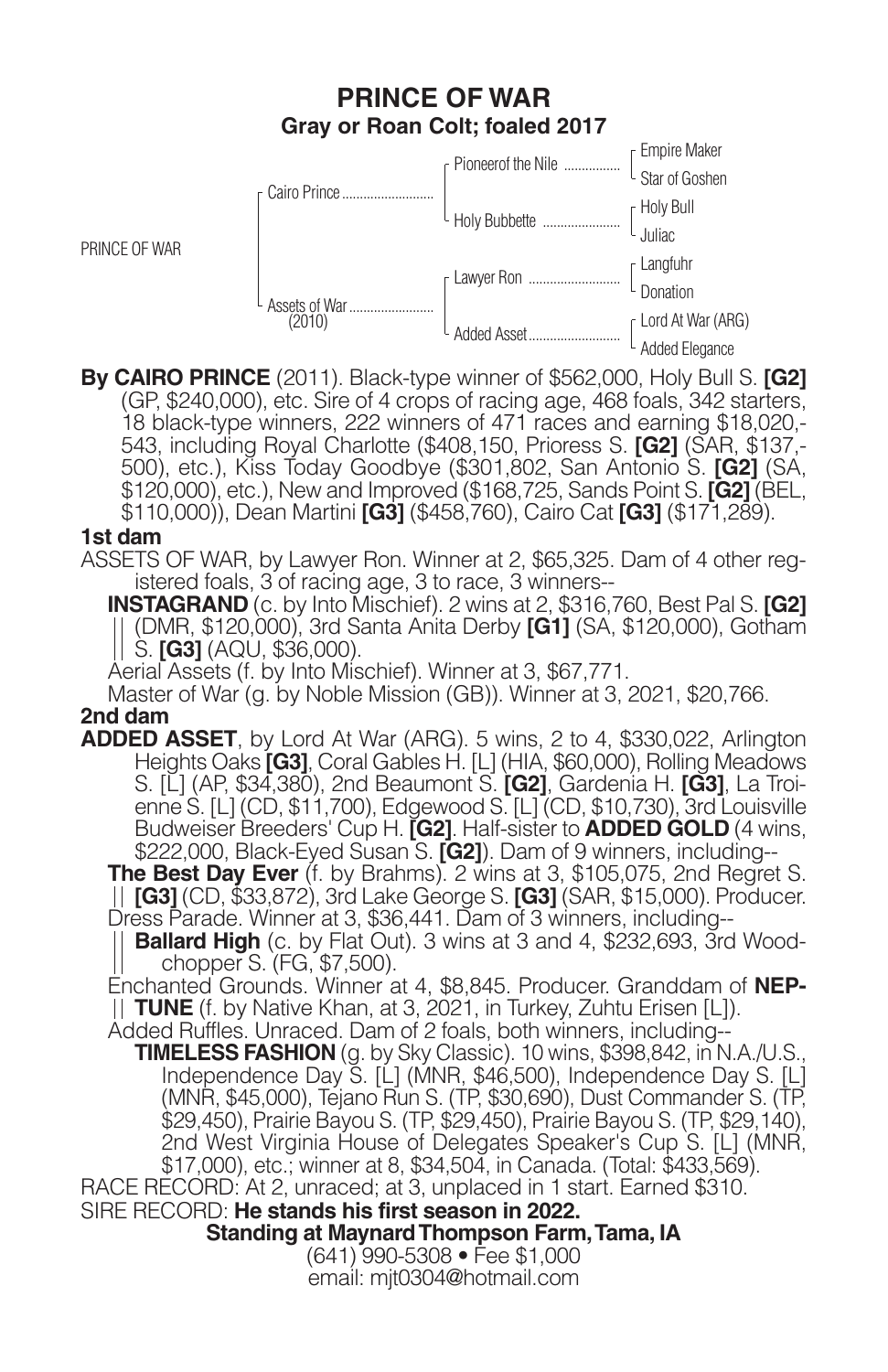# **PRINCE OF WAR Gray or Roan Colt; foaled 2017**



**By CAIRO PRINCE** (2011). Black-type winner of \$562,000, Holy Bull S. **[G2]** (GP, \$240,000), etc. Sire of 4 crops of racing age, 468 foals, 342 starters, 18 black-type winners, 222 winners of 471 races and earning \$18,020,- 543, including Royal Charlotte (\$408,150, Prioress S. **[G2]** (SAR, \$137,- 500), etc.), Kiss Today Goodbye (\$301,802, San Antonio S. **[G2]** (SA, \$120,000), etc.), New and Improved (\$168,725, Sands Point S. **[G2]** (BEL, \$110,000)), Dean Martini **[G3]** (\$458,760), Cairo Cat **[G3]** (\$171,289).

#### **1st dam**

ASSETS OF WAR, by Lawyer Ron. Winner at 2, \$65,325. Dam of 4 other registered foals, 3 of racing age, 3 to race, 3 winners--

**INSTAGRAND** (c. by Into Mischief). 2 wins at 2, \$316,760, Best Pal S. **[G2]** (DMR, \$120,000), 3rd Santa Anita Derby **[G1]** (SA, \$120,000), Gotham S. **[G3]** (AQU, \$36,000).

Aerial Assets (f. by Into Mischief). Winner at 3, \$67,771.

Master of War (g. by Noble Mission (GB)). Winner at 3, 2021, \$20,766.

### **2nd dam**

**ADDED ASSET**, by Lord At War (ARG). 5 wins, 2 to 4, \$330,022, Arlington Heights Oaks **[G3]**, Coral Gables H. [L] (HIA, \$60,000), Rolling Meadows S. [L] (AP, \$34,380), 2nd Beaumont S. **[G2]**, Gardenia H. **[G3]**, La Troienne S. [L] (CD, \$11,700), Edgewood S. [L] (CD, \$10,730), 3rd Louisville Budweiser Breeders' Cup H. **[G2]**. Half-sister to **ADDED GOLD** (4 wins, \$222,000, Black-Eyed Susan S. **[G2]**). Dam of 9 winners, including--

**The Best Day Ever** (f. by Brahms). 2 wins at 3, \$105,075, 2nd Regret S. **[G3]** (CD, \$33,872), 3rd Lake George S. **[G3]** (SAR, \$15,000). Producer. Dress Parade. Winner at 3, \$36,441. Dam of 3 winners, including--

**Ballard High** (c. by Flat Out). 3 wins at 3 and 4, \$232,693, 3rd Woodchopper S. (FG, \$7,500).

Enchanted Grounds. Winner at 4, \$8,845. Producer. Granddam of **NEP-TUNE** (f. by Native Khan, at 3, 2021, in Turkey, Zuhtu Erisen [L]).

Added Ruffles. Unraced. Dam of 2 foals, both winners, including--

**TIMELESS FASHION** (g. by Sky Classic). 10 wins, \$398,842, in N.A./U.S., Independence Day S. [L] (MNR, \$46,500), Independence Day S. [L] (MNR, \$45,000), Tejano Run S. (TP, \$30,690), Dust Commander S. (TP, \$29,450), Prairie Bayou S. (TP, \$29,450), Prairie Bayou S. (TP, \$29,140), 2nd West Virginia House of Delegates Speaker's Cup S. [L] (MNR, \$17,000), etc.; winner at 8, \$34,504, in Canada. (Total: \$433,569).

RACE RECORD: At 2, unraced; at 3, unplaced in 1 start. Earned \$310.

SIRE RECORD: **He stands his first season in 2022. Standing at Maynard Thompson Farm, Tama, IA** (641) 990-5308 • Fee \$1,000

email: mjt0304@hotmail.com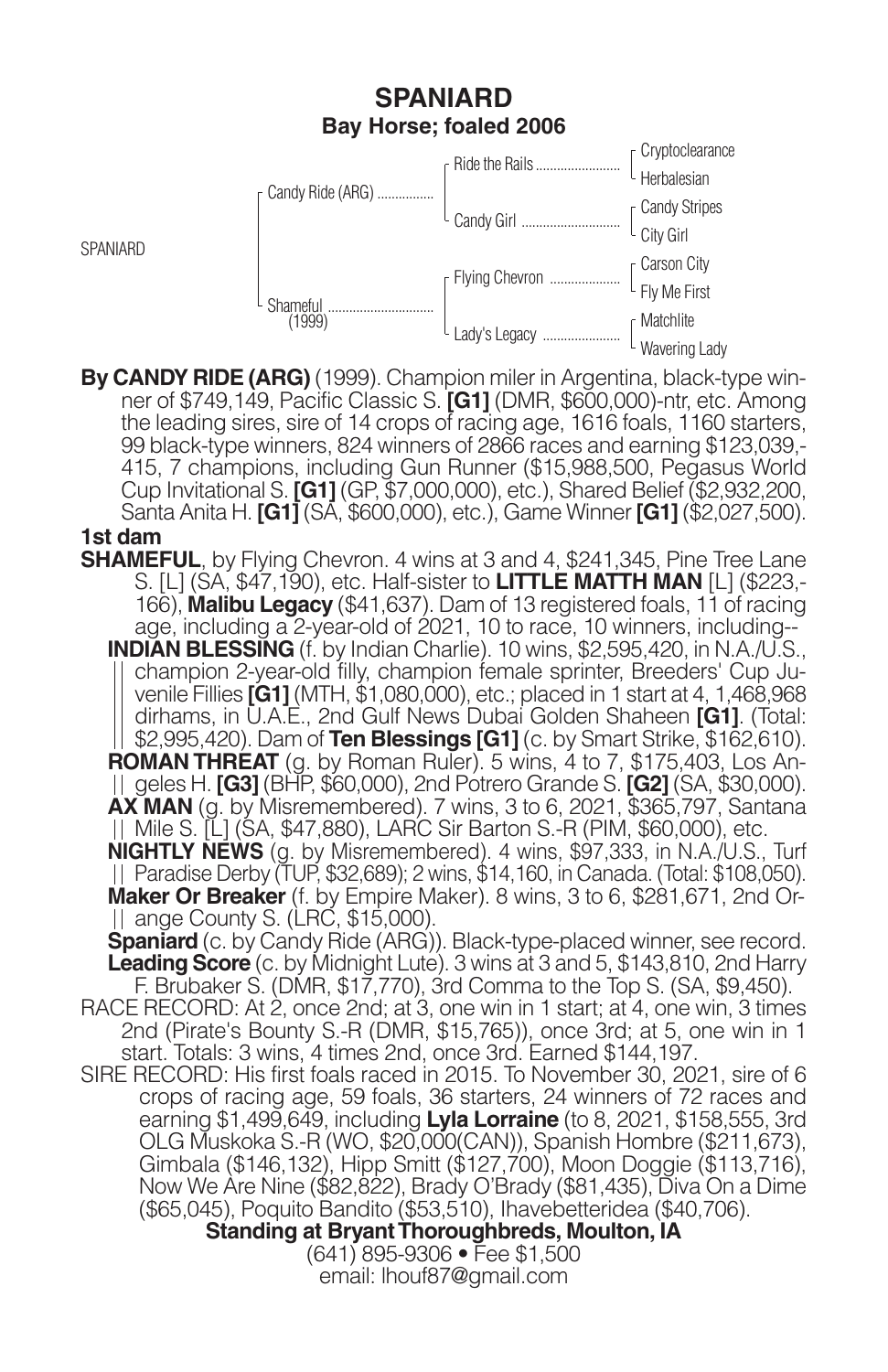# **SPANIARD Bay Horse; foaled 2006**

|  | Candy Ride (ARG)   | Ride the Rails   | · Cryptoclearance            |
|--|--------------------|------------------|------------------------------|
|  |                    |                  | Herbalesian                  |
|  |                    |                  |                              |
|  |                    |                  | [Candy Stripes]<br>City Girl |
|  | Shameful<br>(1999) | F Flying Chevron |                              |
|  |                    |                  | [Carson City<br>Fly Me First |
|  |                    | Lady's Legacy    | Matchlite                    |
|  |                    |                  | Wavering Lady                |

**By CANDY RIDE (ARG)** (1999). Champion miler in Argentina, black-type winner of \$749,149, Pacific Classic S. **[G1]** (DMR, \$600,000)-ntr, etc. Among the leading sires, sire of 14 crops of racing age, 1616 foals, 1160 starters, 99 black-type winners, 824 winners of 2866 races and earning \$123,039,- 415, 7 champions, including Gun Runner (\$15,988,500, Pegasus World Cup Invitational S. **[G1]** (GP, \$7,000,000), etc.), Shared Belief (\$2,932,200, Santa Anita H. **[G1]** (SA, \$600,000), etc.), Game Winner **[G1]** (\$2,027,500).

#### **1st dam**

**SPANIARD** 

RACE RECORD: At 2, once 2nd; at 3, one win in 1 start; at 4, one win, 3 times 2nd (Pirate's Bounty S.-R (DMR, \$15,765)), once 3rd; at 5, one win in 1 start. Totals: 3 wins, 4 times 2nd, once 3rd. Earned \$144,197. **SHAMEFUL**, by Flying Chevron. 4 wins at 3 and 4, \$241,345, Pine Tree Lane S. [L] (SA, \$47,190), etc. Half-sister to **LITTLE MATTH MAN** [L] (\$223,- 166), **Malibu Legacy** (\$41,637). Dam of 13 registered foals, 11 of racing age, including a 2-year-old of 2021, 10 to race, 10 winners, including-- **INDIAN BLESSING** (f. by Indian Charlie). 10 wins, \$2,595,420, in N.A./U.S., champion 2-year-old filly, champion female sprinter, Breeders' Cup Juvenile Fillies **[G1]** (MTH, \$1,080,000), etc.; placed in 1 start at 4, 1,468,968 dirhams, in U.A.E., 2nd Gulf News Dubai Golden Shaheen **[G1]**. (Total: \$2,995,420). Dam of **Ten Blessings [G1]** (c. by Smart Strike, \$162,610). **ROMAN THREAT** (g. by Roman Ruler). 5 wins, 4 to 7, \$175,403, Los Angeles H. **[G3]** (BHP, \$60,000), 2nd Potrero Grande S. **[G2]** (SA, \$30,000). **AX MAN** (g. by Misremembered). 7 wins, 3 to 6, 2021, \$365,797, Santana Mile S. [L] (SA, \$47,880), LARC Sir Barton S.-R (PIM, \$60,000), etc. **NIGHTLY NEWS** (g. by Misremembered). 4 wins, \$97,333, in N.A./U.S., Turf Paradise Derby (TUP, \$32,689); 2 wins, \$14,160, in Canada. (Total: \$108,050). **Maker Or Breaker** (f. by Empire Maker). 8 wins, 3 to 6, \$281,671, 2nd Orange County S. (LRC, \$15,000). **Spaniard** (c. by Candy Ride (ARG)). Black-type-placed winner, see record. **Leading Score** (c. by Midnight Lute). 3 wins at 3 and 5, \$143,810, 2nd Harry F. Brubaker S. (DMR, \$17,770), 3rd Comma to the Top S. (SA, \$9,450). SIRE RECORD: His first foals raced in 2015. To November 30, 2021, sire of 6 crops of racing age, 59 foals, 36 starters, 24 winners of 72 races and earning \$1,499,649, including **Lyla Lorraine** (to 8, 2021, \$158,555, 3rd OLG Muskoka S.-R (WO, \$20,000(CAN)), Spanish Hombre (\$211,673), Gimbala (\$146,132), Hipp Smitt (\$127,700), Moon Doggie (\$113,716), Now We Are Nine (\$82,822), Brady O'Brady (\$81,435), Diva On a Dime (\$65,045), Poquito Bandito (\$53,510), Ihavebetteridea (\$40,706). **Standing at Bryant Thoroughbreds, Moulton, IA** (641) 895-9306 • Fee \$1,500

email: lhouf87@gmail.com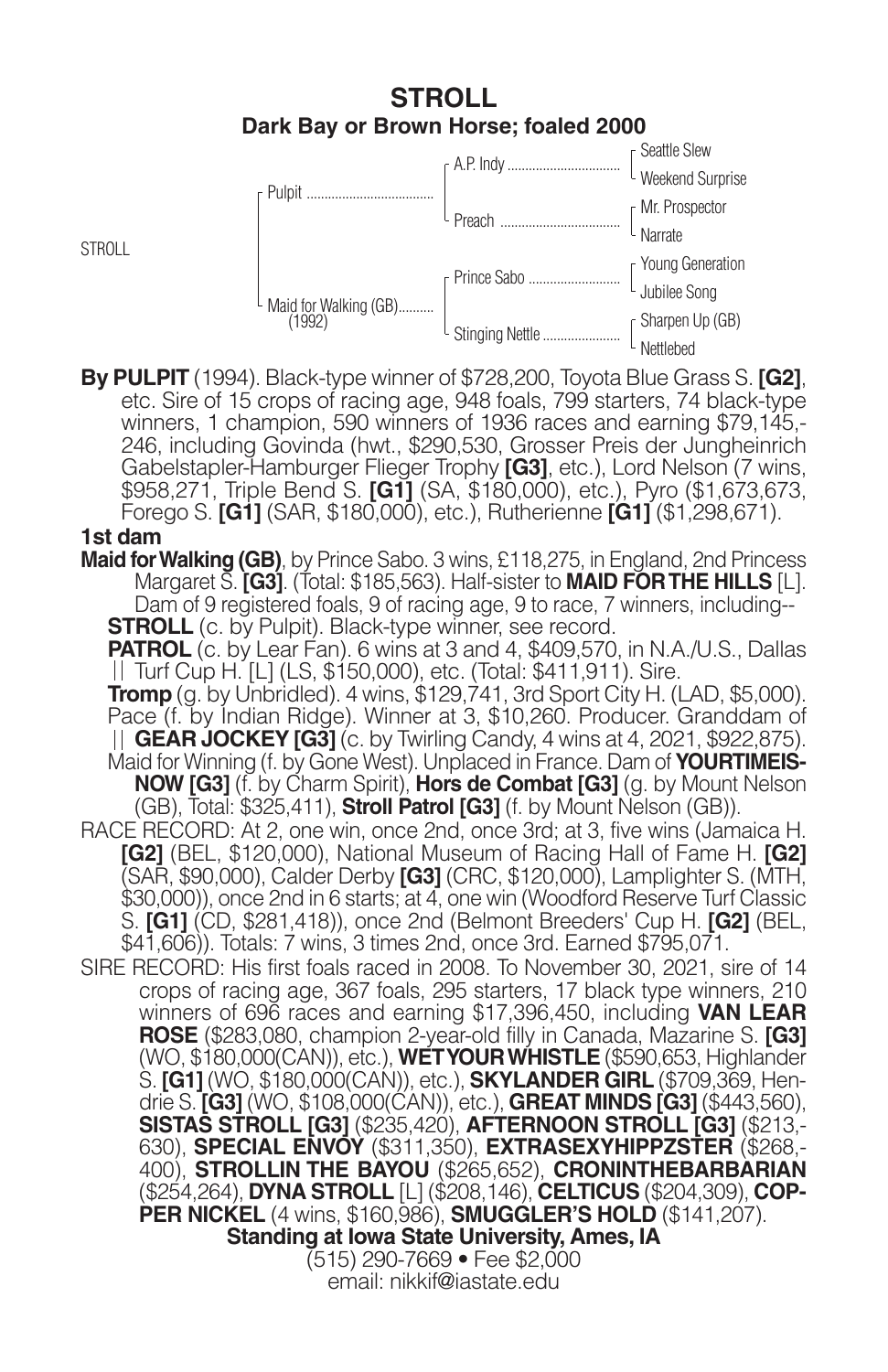## **STROLL Dark Bay or Brown Horse; foaled 2000**



**By PULPIT** (1994). Black-type winner of \$728,200, Toyota Blue Grass S. **[G2]**, etc. Sire of 15 crops of racing age, 948 foals, 799 starters, 74 black-type winners, 1 champion, 590 winners of 1936 races and earning \$79,145,- 246, including Govinda (hwt., \$290,530, Grosser Preis der Jungheinrich Gabelstapler-Hamburger Flieger Trophy **[G3]**, etc.), Lord Nelson (7 wins, \$958,271, Triple Bend S. **[G1]** (SA, \$180,000), etc.), Pyro (\$1,673,673, Forego S. **[G1]** (SAR, \$180,000), etc.), Rutherienne **[G1]** (\$1,298,671).

### **1st dam**

**Maid for Walking (GB)**, by Prince Sabo. 3 wins, £118,275, in England, 2nd Princess Margaret S. **[G3]**. (Total: \$185,563). Half-sister to **MAID FOR THE HILLS** [L]. Dam of 9 registered foals, 9 of racing age, 9 to race, 7 winners, including-- **STROLL** (c. by Pulpit). Black-type winner, see record.

**PATROL** (c. by Lear Fan). 6 wins at 3 and 4, \$409,570, in N.A./U.S., Dallas Turf Cup H. [L] (LS, \$150,000), etc. (Total: \$411,911). Sire.

**Tromp** (g. by Unbridled). 4 wins, \$129,741, 3rd Sport City H. (LAD, \$5,000). Pace (f. by Indian Ridge). Winner at 3, \$10,260. Producer. Granddam of **GEAR JOCKEY [G3]** (c. by Twirling Candy, 4 wins at 4, 2021, \$922,875). Maid for Winning (f. by Gone West). Unplaced in France. Dam of **YOURTIMEIS-NOW [G3]** (f. by Charm Spirit), **Hors de Combat [G3]** (g. by Mount Nelson (GB), Total: \$325,411), **Stroll Patrol [G3]** (f. by Mount Nelson (GB)).

RACE RECORD: At 2, one win, once 2nd, once 3rd; at 3, five wins (Jamaica H. **[G2]** (BEL, \$120,000), National Museum of Racing Hall of Fame H. **[G2]** (SAR, \$90,000), Calder Derby **[G3]** (CRC, \$120,000), Lamplighter S. (MTH, \$30,000)), once 2nd in 6 starts; at 4, one win (Woodford Reserve Turf Classic S. **[G1]** (CD, \$281,418)), once 2nd (Belmont Breeders' Cup H. **[G2]** (BEL, \$41,606)). Totals: 7 wins, 3 times 2nd, once 3rd. Earned \$795,071.

SIRE RECORD: His first foals raced in 2008. To November 30, 2021, sire of 14 crops of racing age, 367 foals, 295 starters, 17 black type winners, 210 winners of 696 races and earning \$17,396,450, including **VAN LEAR ROSE** (\$283,080, champion 2-year-old filly in Canada, Mazarine S. **[G3]** (WO, \$180,000(CAN)), etc.), **WET YOUR WHISTLE** (\$590,653, Highlander S. **[G1]** (WO, \$180,000(CAN)), etc.), **SKYLANDER GIRL** (\$709,369, Hendrie S. **[G3]** (WO, \$108,000(CAN)), etc.), **GREAT MINDS [G3]** (\$443,560), **SISTAS STROLL [G3]** (\$235,420), **AFTERNOON STROLL [G3]** (\$213,- 630), **SPECIAL ENVOY** (\$311,350), **EXTRASEXYHIPPZSTER** (\$268,- 400), **STROLLIN THE BAYOU** (\$265,652), **CRONINTHEBARBARIAN** (\$254,264), **DYNA STROLL** [L] (\$208,146), **CELTICUS** (\$204,309), **COP-PER NICKEL** (4 wins, \$160,986), **SMUGGLER'S HOLD** (\$141,207). **Standing at Iowa State University, Ames, IA** (515) 290-7669 • Fee \$2,000

email: nikkif@iastate.edu